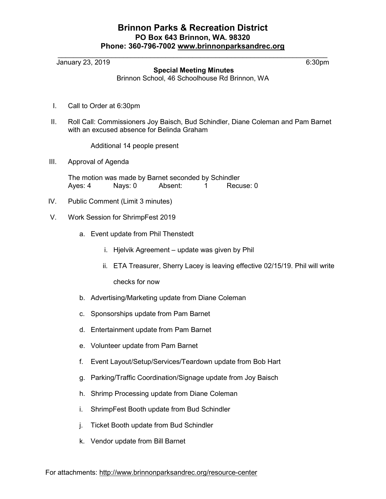## Brinnon Parks & Recreation District PO Box 643 Brinnon, WA. 98320 Phone: 360-796-7002 www.brinnonparksandrec.org

 $\_$ 

January 23, 2019 6:30pm

Special Meeting Minutes

Brinnon School, 46 Schoolhouse Rd Brinnon, WA

- I. Call to Order at 6:30pm
- II. Roll Call: Commissioners Joy Baisch, Bud Schindler, Diane Coleman and Pam Barnet with an excused absence for Belinda Graham

Additional 14 people present

III. Approval of Agenda

The motion was made by Barnet seconded by Schindler Ayes: 4 Mays: 0 Absent: 1 Recuse: 0

- IV. Public Comment (Limit 3 minutes)
- V. Work Session for ShrimpFest 2019
	- a. Event update from Phil Thenstedt
		- i. Hjelvik Agreement update was given by Phil
		- ii. ETA Treasurer, Sherry Lacey is leaving effective 02/15/19. Phil will write

checks for now

- b. Advertising/Marketing update from Diane Coleman
- c. Sponsorships update from Pam Barnet
- d. Entertainment update from Pam Barnet
- e. Volunteer update from Pam Barnet
- f. Event Layout/Setup/Services/Teardown update from Bob Hart
- g. Parking/Traffic Coordination/Signage update from Joy Baisch
- h. Shrimp Processing update from Diane Coleman
- i. ShrimpFest Booth update from Bud Schindler
- j. Ticket Booth update from Bud Schindler
- k. Vendor update from Bill Barnet